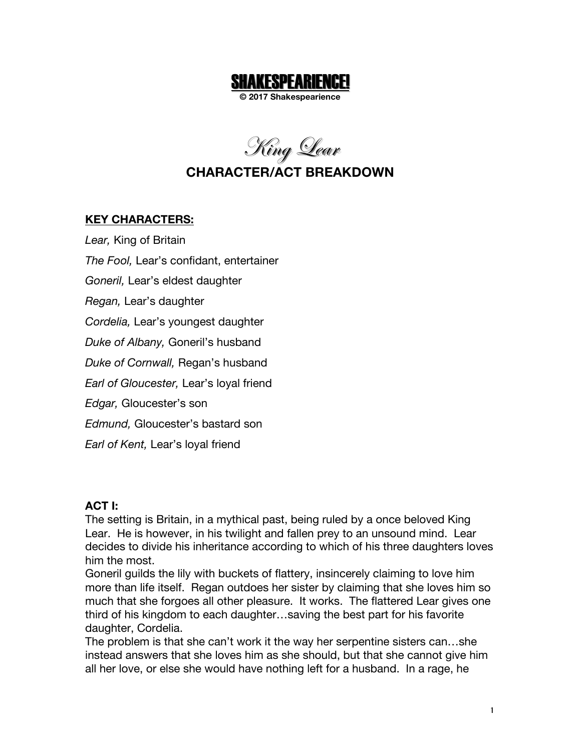

**© 2017 Shakespearience**

King <u>L</u>ear

# **CHARACTER/ACT BREAKDOWN**

#### **KEY CHARACTERS:**

*Lear,* King of Britain *The Fool,* Lear's confidant, entertainer *Goneril,* Lear's eldest daughter *Regan,* Lear's daughter *Cordelia,* Lear's youngest daughter *Duke of Albany,* Goneril's husband *Duke of Cornwall,* Regan's husband *Earl of Gloucester,* Lear's loyal friend *Edgar,* Gloucester's son *Edmund,* Gloucester's bastard son *Earl of Kent,* Lear's loyal friend

#### **ACT I:**

The setting is Britain, in a mythical past, being ruled by a once beloved King Lear. He is however, in his twilight and fallen prey to an unsound mind. Lear decides to divide his inheritance according to which of his three daughters loves him the most.

Goneril guilds the lily with buckets of flattery, insincerely claiming to love him more than life itself. Regan outdoes her sister by claiming that she loves him so much that she forgoes all other pleasure. It works. The flattered Lear gives one third of his kingdom to each daughter…saving the best part for his favorite daughter, Cordelia.

The problem is that she can't work it the way her serpentine sisters can…she instead answers that she loves him as she should, but that she cannot give him all her love, or else she would have nothing left for a husband. In a rage, he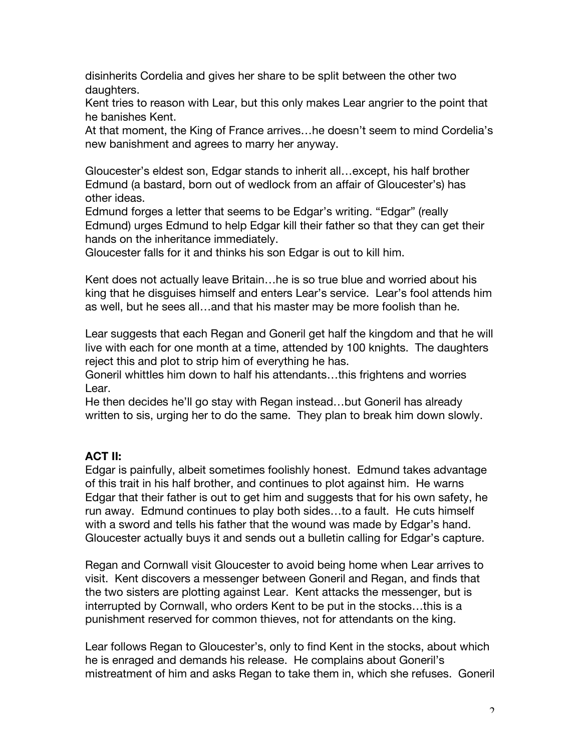disinherits Cordelia and gives her share to be split between the other two daughters.

Kent tries to reason with Lear, but this only makes Lear angrier to the point that he banishes Kent.

At that moment, the King of France arrives…he doesn't seem to mind Cordelia's new banishment and agrees to marry her anyway.

Gloucester's eldest son, Edgar stands to inherit all…except, his half brother Edmund (a bastard, born out of wedlock from an affair of Gloucester's) has other ideas.

Edmund forges a letter that seems to be Edgar's writing. "Edgar" (really Edmund) urges Edmund to help Edgar kill their father so that they can get their hands on the inheritance immediately.

Gloucester falls for it and thinks his son Edgar is out to kill him.

Kent does not actually leave Britain…he is so true blue and worried about his king that he disguises himself and enters Lear's service. Lear's fool attends him as well, but he sees all…and that his master may be more foolish than he.

Lear suggests that each Regan and Goneril get half the kingdom and that he will live with each for one month at a time, attended by 100 knights. The daughters reject this and plot to strip him of everything he has.

Goneril whittles him down to half his attendants…this frightens and worries Lear.

He then decides he'll go stay with Regan instead…but Goneril has already written to sis, urging her to do the same. They plan to break him down slowly.

#### **ACT II:**

Edgar is painfully, albeit sometimes foolishly honest. Edmund takes advantage of this trait in his half brother, and continues to plot against him. He warns Edgar that their father is out to get him and suggests that for his own safety, he run away. Edmund continues to play both sides…to a fault. He cuts himself with a sword and tells his father that the wound was made by Edgar's hand. Gloucester actually buys it and sends out a bulletin calling for Edgar's capture.

Regan and Cornwall visit Gloucester to avoid being home when Lear arrives to visit. Kent discovers a messenger between Goneril and Regan, and finds that the two sisters are plotting against Lear. Kent attacks the messenger, but is interrupted by Cornwall, who orders Kent to be put in the stocks…this is a punishment reserved for common thieves, not for attendants on the king.

Lear follows Regan to Gloucester's, only to find Kent in the stocks, about which he is enraged and demands his release. He complains about Goneril's mistreatment of him and asks Regan to take them in, which she refuses. Goneril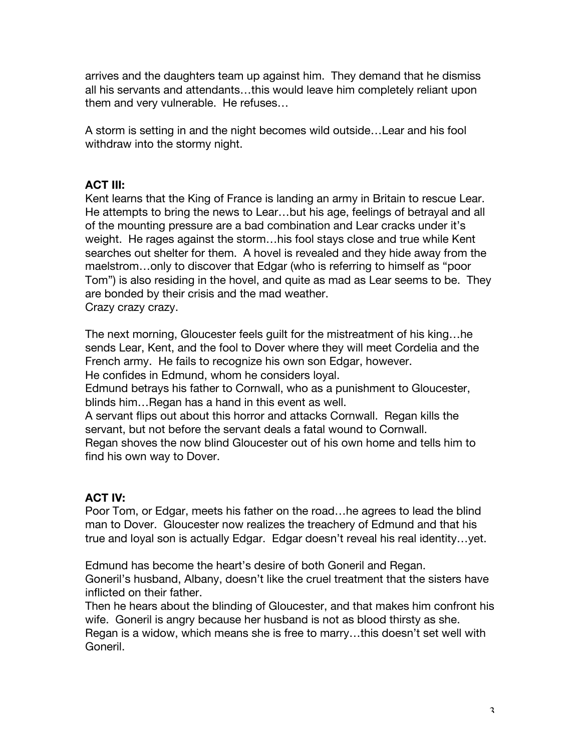arrives and the daughters team up against him. They demand that he dismiss all his servants and attendants…this would leave him completely reliant upon them and very vulnerable. He refuses…

A storm is setting in and the night becomes wild outside…Lear and his fool withdraw into the stormy night.

### **ACT III:**

Kent learns that the King of France is landing an army in Britain to rescue Lear. He attempts to bring the news to Lear…but his age, feelings of betrayal and all of the mounting pressure are a bad combination and Lear cracks under it's weight. He rages against the storm…his fool stays close and true while Kent searches out shelter for them. A hovel is revealed and they hide away from the maelstrom…only to discover that Edgar (who is referring to himself as "poor Tom") is also residing in the hovel, and quite as mad as Lear seems to be. They are bonded by their crisis and the mad weather. Crazy crazy crazy.

The next morning, Gloucester feels guilt for the mistreatment of his king…he sends Lear, Kent, and the fool to Dover where they will meet Cordelia and the French army. He fails to recognize his own son Edgar, however. He confides in Edmund, whom he considers loyal.

Edmund betrays his father to Cornwall, who as a punishment to Gloucester, blinds him…Regan has a hand in this event as well.

A servant flips out about this horror and attacks Cornwall. Regan kills the servant, but not before the servant deals a fatal wound to Cornwall. Regan shoves the now blind Gloucester out of his own home and tells him to find his own way to Dover.

## **ACT IV:**

Poor Tom, or Edgar, meets his father on the road…he agrees to lead the blind man to Dover. Gloucester now realizes the treachery of Edmund and that his true and loyal son is actually Edgar. Edgar doesn't reveal his real identity…yet.

Edmund has become the heart's desire of both Goneril and Regan. Goneril's husband, Albany, doesn't like the cruel treatment that the sisters have inflicted on their father.

Then he hears about the blinding of Gloucester, and that makes him confront his wife. Goneril is angry because her husband is not as blood thirsty as she. Regan is a widow, which means she is free to marry…this doesn't set well with Goneril.